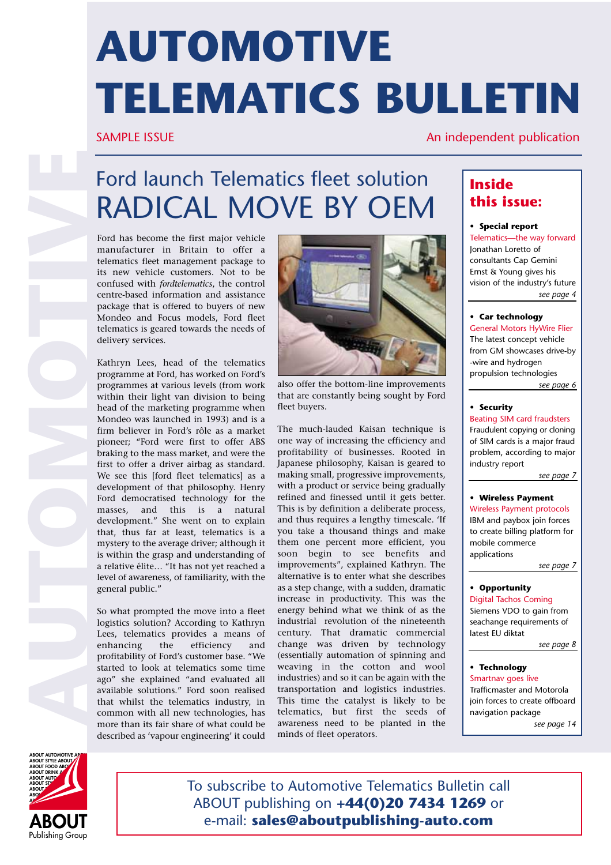# **AUTOMOTIVE TELEMATICS BULLETIN**

#### SAMPLE ISSUE An independent publication

## Ford launch Telematics fleet solution RADICAL MOVE BY OEM

Ford has become the first major vehicle manufacturer in Britain to offer a telematics fleet management package to its new vehicle customers. Not to be confused with *fordtelematics*, the control centre-based information and assistance package that is offered to buyers of new Mondeo and Focus models, Ford fleet telematics is geared towards the needs of delivery services.

Kathryn Lees, head of the telematics programme at Ford, has worked on Ford's programmes at various levels (from work within their light van division to being head of the marketing programme when Mondeo was launched in 1993) and is a firm believer in Ford's rôle as a market pioneer; "Ford were first to offer ABS braking to the mass market, and were the first to offer a driver airbag as standard. We see this [ford fleet telematics] as a development of that philosophy. Henry Ford democratised technology for the masses, and this is a natural development." She went on to explain that, thus far at least, telematics is a mystery to the average driver; although it is within the grasp and understanding of a relative élite… "It has not yet reached a level of awareness, of familiarity, with the general public."

So what prompted the move into a fleet logistics solution? According to Kathryn Lees, telematics provides a means of enhancing the efficiency and profitability of Ford's customer base. "We started to look at telematics some time ago" she explained "and evaluated all available solutions." Ford soon realised that whilst the telematics industry, in common with all new technologies, has more than its fair share of what could be described as 'vapour engineering' it could



also offer the bottom-line improvements that are constantly being sought by Ford fleet buyers.

The much-lauded Kaisan technique is one way of increasing the efficiency and profitability of businesses. Rooted in Japanese philosophy, Kaisan is geared to making small, progressive improvements, with a product or service being gradually refined and finessed until it gets better. This is by definition a deliberate process, and thus requires a lengthy timescale. 'If you take a thousand things and make them one percent more efficient, you soon begin to see benefits and improvements", explained Kathryn. The alternative is to enter what she describes as a step change, with a sudden, dramatic increase in productivity. This was the energy behind what we think of as the industrial revolution of the nineteenth century. That dramatic commercial change was driven by technology (essentially automation of spinning and weaving in the cotton and wool industries) and so it can be again with the transportation and logistics industries. This time the catalyst is likely to be telematics, but first the seeds of awareness need to be planted in the minds of fleet operators.

#### **Inside this issue:**

#### **• Special report**

Telematics—the way forward Jonathan Loretto of consultants Cap Gemini Ernst & Young gives his vision of the industry's future *see page 4*

#### **• Car technology**

General Motors HyWire Flier The latest concept vehicle from GM showcases drive-by -wire and hydrogen propulsion technologies *see page 6*

#### **• Security**

Beating SIM card fraudsters Fraudulent copying or cloning of SIM cards is a major fraud problem, according to major industry report

*see page 7*

#### **• Wireless Payment**

Wireless Payment protocols IBM and paybox join forces to create billing platform for mobile commerce applications

*see page 7*

#### **• Opportunity**

Digital Tachos Coming Siemens VDO to gain from seachange requirements of latest EU diktat

*see page 8*

#### **• Technology** Smartnav goes live

Trafficmaster and Motorola join forces to create offboard navigation package *see page 14*



To subscribe to Automotive Telematics Bulletin call ABOUT publishing on **+44(0)20 7434 1269** or e-mail: **sales@aboutpublishing-auto.com**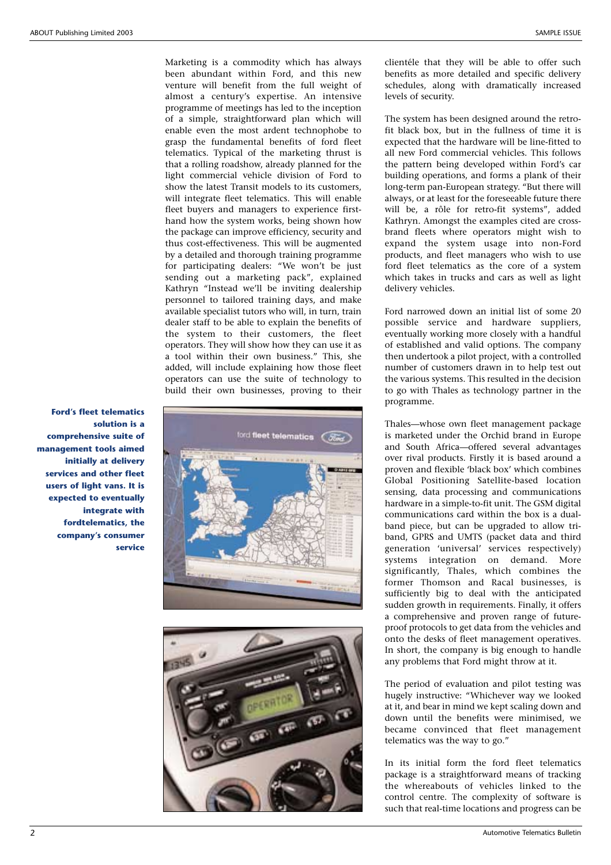Marketing is a commodity which has always been abundant within Ford, and this new venture will benefit from the full weight of almost a century's expertise. An intensive programme of meetings has led to the inception of a simple, straightforward plan which will enable even the most ardent technophobe to grasp the fundamental benefits of ford fleet telematics. Typical of the marketing thrust is that a rolling roadshow, already planned for the light commercial vehicle division of Ford to show the latest Transit models to its customers, will integrate fleet telematics. This will enable fleet buyers and managers to experience firsthand how the system works, being shown how the package can improve efficiency, security and thus cost-effectiveness. This will be augmented by a detailed and thorough training programme for participating dealers: "We won't be just sending out a marketing pack", explained Kathryn "Instead we'll be inviting dealership personnel to tailored training days, and make available specialist tutors who will, in turn, train dealer staff to be able to explain the benefits of the system to their customers, the fleet operators. They will show how they can use it as a tool within their own business." This, she added, will include explaining how those fleet operators can use the suite of technology to build their own businesses, proving to their





clientéle that they will be able to offer such benefits as more detailed and specific delivery schedules, along with dramatically increased levels of security.

The system has been designed around the retrofit black box, but in the fullness of time it is expected that the hardware will be line-fitted to all new Ford commercial vehicles. This follows the pattern being developed within Ford's car building operations, and forms a plank of their long-term pan-European strategy. "But there will always, or at least for the foreseeable future there will be, a rôle for retro-fit systems", added Kathryn. Amongst the examples cited are crossbrand fleets where operators might wish to expand the system usage into non-Ford products, and fleet managers who wish to use ford fleet telematics as the core of a system which takes in trucks and cars as well as light delivery vehicles.

Ford narrowed down an initial list of some 20 possible service and hardware suppliers, eventually working more closely with a handful of established and valid options. The company then undertook a pilot project, with a controlled number of customers drawn in to help test out the various systems. This resulted in the decision to go with Thales as technology partner in the programme.

Thales—whose own fleet management package is marketed under the Orchid brand in Europe and South Africa—offered several advantages over rival products. Firstly it is based around a proven and flexible 'black box' which combines Global Positioning Satellite-based location sensing, data processing and communications hardware in a simple-to-fit unit. The GSM digital communications card within the box is a dualband piece, but can be upgraded to allow triband, GPRS and UMTS (packet data and third generation 'universal' services respectively) systems integration on demand. More significantly, Thales, which combines the former Thomson and Racal businesses, is sufficiently big to deal with the anticipated sudden growth in requirements. Finally, it offers a comprehensive and proven range of futureproof protocols to get data from the vehicles and onto the desks of fleet management operatives. In short, the company is big enough to handle any problems that Ford might throw at it.

The period of evaluation and pilot testing was hugely instructive: "Whichever way we looked at it, and bear in mind we kept scaling down and down until the benefits were minimised, we became convinced that fleet management telematics was the way to go."

In its initial form the ford fleet telematics package is a straightforward means of tracking the whereabouts of vehicles linked to the control centre. The complexity of software is such that real-time locations and progress can be

**Ford's fleet telematics solution is a comprehensive suite of management tools aimed initially at delivery services and other fleet users of light vans. It is expected to eventually integrate with fordtelematics, the company's consumer service**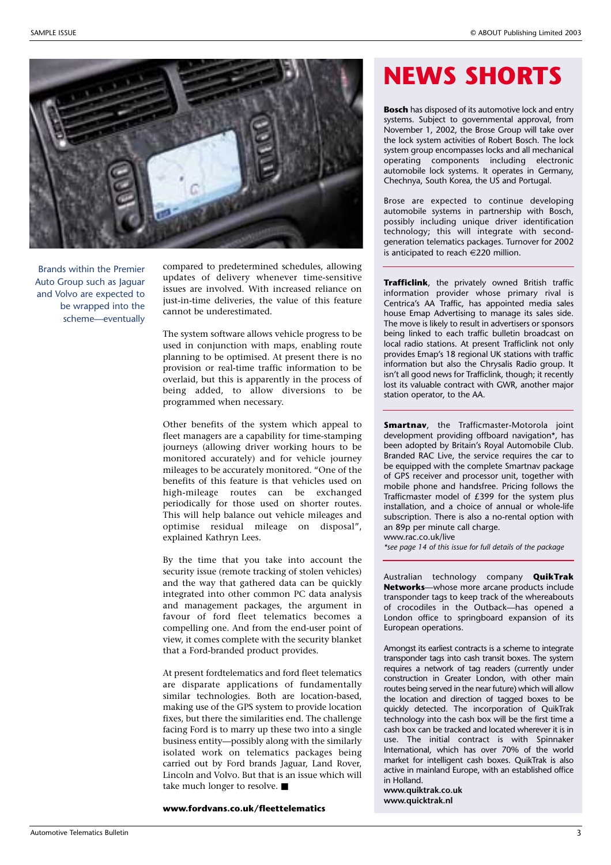

Brands within the Premier Auto Group such as Jaguar and Volvo are expected to be wrapped into the scheme—eventually

compared to predetermined schedules, allowing updates of delivery whenever time-sensitive issues are involved. With increased reliance on just-in-time deliveries, the value of this feature cannot be underestimated.

The system software allows vehicle progress to be used in conjunction with maps, enabling route planning to be optimised. At present there is no provision or real-time traffic information to be overlaid, but this is apparently in the process of being added, to allow diversions to be programmed when necessary.

Other benefits of the system which appeal to fleet managers are a capability for time-stamping journeys (allowing driver working hours to be monitored accurately) and for vehicle journey mileages to be accurately monitored. "One of the benefits of this feature is that vehicles used on high-mileage routes can be exchanged periodically for those used on shorter routes. This will help balance out vehicle mileages and optimise residual mileage on disposal", explained Kathryn Lees.

By the time that you take into account the security issue (remote tracking of stolen vehicles) and the way that gathered data can be quickly integrated into other common PC data analysis and management packages, the argument in favour of ford fleet telematics becomes a compelling one. And from the end-user point of view, it comes complete with the security blanket that a Ford-branded product provides.

At present fordtelematics and ford fleet telematics are disparate applications of fundamentally similar technologies. Both are location-based, making use of the GPS system to provide location fixes, but there the similarities end. The challenge facing Ford is to marry up these two into a single business entity—possibly along with the similarly isolated work on telematics packages being carried out by Ford brands Jaguar, Land Rover, Lincoln and Volvo. But that is an issue which will take much longer to resolve. ■

**www.fordvans.co.uk/fleettelematics**

### **NEWS SHORTS**

**Bosch** has disposed of its automotive lock and entry systems. Subject to governmental approval, from November 1, 2002, the Brose Group will take over the lock system activities of Robert Bosch. The lock system group encompasses locks and all mechanical operating components including electronic automobile lock systems. It operates in Germany, Chechnya, South Korea, the US and Portugal.

Brose are expected to continue developing automobile systems in partnership with Bosch, possibly including unique driver identification technology; this will integrate with secondgeneration telematics packages. Turnover for 2002 is anticipated to reach  $\in$  220 million.

**Trafficlink**, the privately owned British traffic information provider whose primary rival is Centrica's AA Traffic, has appointed media sales house Emap Advertising to manage its sales side. The move is likely to result in advertisers or sponsors being linked to each traffic bulletin broadcast on local radio stations. At present Trafficlink not only provides Emap's 18 regional UK stations with traffic information but also the Chrysalis Radio group. It isn't all good news for Trafficlink, though; it recently lost its valuable contract with GWR, another major station operator, to the AA.

**Smartnav**, the Trafficmaster-Motorola joint development providing offboard navigation\*, has been adopted by Britain's Royal Automobile Club. Branded RAC Live, the service requires the car to be equipped with the complete Smartnav package of GPS receiver and processor unit, together with mobile phone and handsfree. Pricing follows the Trafficmaster model of £399 for the system plus installation, and a choice of annual or whole-life subscription. There is also a no-rental option with an 89p per minute call charge. www.rac.co.uk/live

*\*see page 14 of this issue for full details of the package*

Australian technology company **QuikTrak Networks**—whose more arcane products include transponder tags to keep track of the whereabouts of crocodiles in the Outback—has opened a London office to springboard expansion of its European operations.

Amongst its earliest contracts is a scheme to integrate transponder tags into cash transit boxes. The system requires a network of tag readers (currently under construction in Greater London, with other main routes being served in the near future) which will allow the location and direction of tagged boxes to be quickly detected. The incorporation of QuikTrak technology into the cash box will be the first time a cash box can be tracked and located wherever it is in use. The initial contract is with Spinnaker International, which has over 70% of the world market for intelligent cash boxes. QuikTrak is also active in mainland Europe, with an established office in Holland.

**www.quiktrak.co.uk www.quicktrak.nl**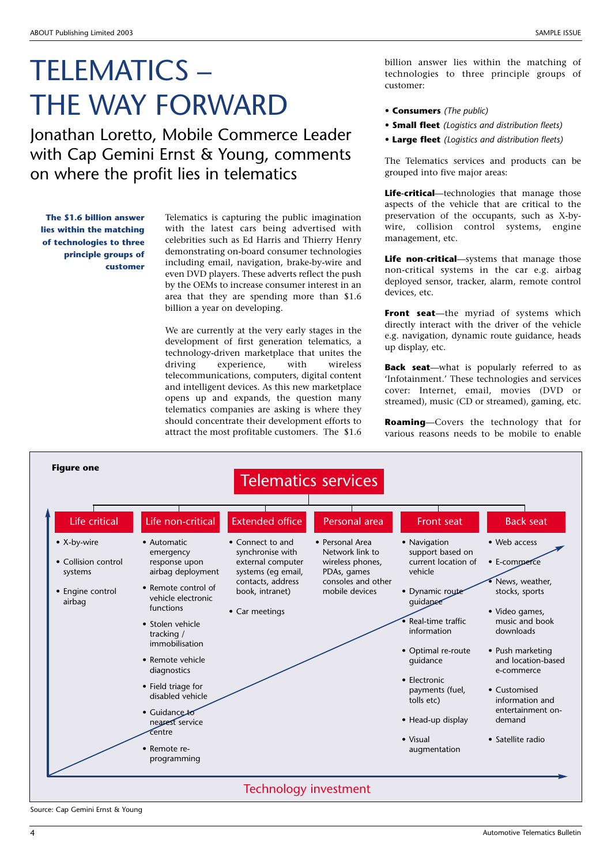## TELEMATICS – THE WAY FORWARD

Jonathan Loretto, Mobile Commerce Leader with Cap Gemini Ernst & Young, comments on where the profit lies in telematics

**The \$1.6 billion answer lies within the matching of technologies to three principle groups of customer**

Telematics is capturing the public imagination with the latest cars being advertised with celebrities such as Ed Harris and Thierry Henry demonstrating on-board consumer technologies including email, navigation, brake-by-wire and even DVD players. These adverts reflect the push by the OEMs to increase consumer interest in an area that they are spending more than \$1.6 billion a year on developing.

We are currently at the very early stages in the development of first generation telematics, a technology-driven marketplace that unites the<br>driving experience, with wireless experience, with wireless telecommunications, computers, digital content and intelligent devices. As this new marketplace opens up and expands, the question many telematics companies are asking is where they should concentrate their development efforts to attract the most profitable customers. The \$1.6

billion answer lies within the matching of technologies to three principle groups of customer:

- **Consumers** *(The public)*
- **Small fleet** *(Logistics and distribution fleets)*
- **Large fleet** *(Logistics and distribution fleets)*

The Telematics services and products can be grouped into five major areas:

**Life-critical**—technologies that manage those aspects of the vehicle that are critical to the preservation of the occupants, such as X-bywire, collision control systems, engine management, etc.

**Life non-critical**—systems that manage those non-critical systems in the car e.g. airbag deployed sensor, tracker, alarm, remote control devices, etc.

**Front seat**—the myriad of systems which directly interact with the driver of the vehicle e.g. navigation, dynamic route guidance, heads up display, etc.

**Back seat**—what is popularly referred to as 'Infotainment.' These technologies and services cover: Internet, email, movies (DVD or streamed), music (CD or streamed), gaming, etc.

**Roaming**—Covers the technology that for various reasons needs to be mobile to enable



Source: Cap Gemini Ernst & Young

SAMPLE ISSUE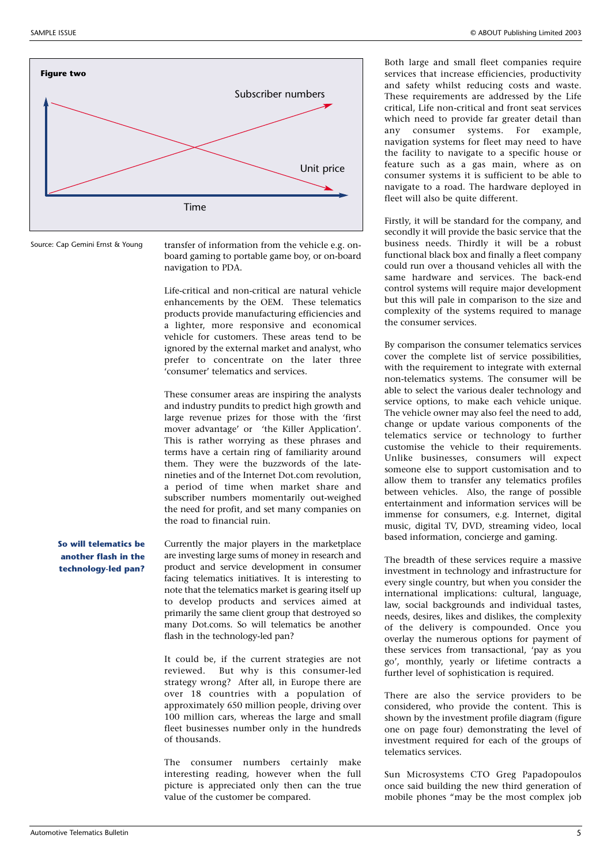

Source: Cap Gemini Ernst & Young

transfer of information from the vehicle e.g. onboard gaming to portable game boy, or on-board navigation to PDA.

Life-critical and non-critical are natural vehicle enhancements by the OEM. These telematics products provide manufacturing efficiencies and a lighter, more responsive and economical vehicle for customers. These areas tend to be ignored by the external market and analyst, who prefer to concentrate on the later three 'consumer' telematics and services.

These consumer areas are inspiring the analysts and industry pundits to predict high growth and large revenue prizes for those with the 'first mover advantage' or 'the Killer Application'. This is rather worrying as these phrases and terms have a certain ring of familiarity around them. They were the buzzwords of the latenineties and of the Internet Dot.com revolution, a period of time when market share and subscriber numbers momentarily out-weighed the need for profit, and set many companies on the road to financial ruin.

**So will telematics be another flash in the technology-led pan?**

Currently the major players in the marketplace are investing large sums of money in research and product and service development in consumer facing telematics initiatives. It is interesting to note that the telematics market is gearing itself up to develop products and services aimed at primarily the same client group that destroyed so many Dot.coms. So will telematics be another flash in the technology-led pan?

It could be, if the current strategies are not reviewed. But why is this consumer-led strategy wrong? After all, in Europe there are over 18 countries with a population of approximately 650 million people, driving over 100 million cars, whereas the large and small fleet businesses number only in the hundreds of thousands.

The consumer numbers certainly make interesting reading, however when the full picture is appreciated only then can the true value of the customer be compared.

Both large and small fleet companies require services that increase efficiencies, productivity and safety whilst reducing costs and waste. These requirements are addressed by the Life critical, Life non-critical and front seat services which need to provide far greater detail than any consumer systems. For example, navigation systems for fleet may need to have the facility to navigate to a specific house or feature such as a gas main, where as on consumer systems it is sufficient to be able to navigate to a road. The hardware deployed in fleet will also be quite different.

Firstly, it will be standard for the company, and secondly it will provide the basic service that the business needs. Thirdly it will be a robust functional black box and finally a fleet company could run over a thousand vehicles all with the same hardware and services. The back-end control systems will require major development but this will pale in comparison to the size and complexity of the systems required to manage the consumer services.

By comparison the consumer telematics services cover the complete list of service possibilities, with the requirement to integrate with external non-telematics systems. The consumer will be able to select the various dealer technology and service options, to make each vehicle unique. The vehicle owner may also feel the need to add, change or update various components of the telematics service or technology to further customise the vehicle to their requirements. Unlike businesses, consumers will expect someone else to support customisation and to allow them to transfer any telematics profiles between vehicles. Also, the range of possible entertainment and information services will be immense for consumers, e.g. Internet, digital music, digital TV, DVD, streaming video, local based information, concierge and gaming.

The breadth of these services require a massive investment in technology and infrastructure for every single country, but when you consider the international implications: cultural, language, law, social backgrounds and individual tastes, needs, desires, likes and dislikes, the complexity of the delivery is compounded. Once you overlay the numerous options for payment of these services from transactional, 'pay as you go', monthly, yearly or lifetime contracts a further level of sophistication is required.

There are also the service providers to be considered, who provide the content. This is shown by the investment profile diagram (figure one on page four) demonstrating the level of investment required for each of the groups of telematics services.

Sun Microsystems CTO Greg Papadopoulos once said building the new third generation of mobile phones "may be the most complex job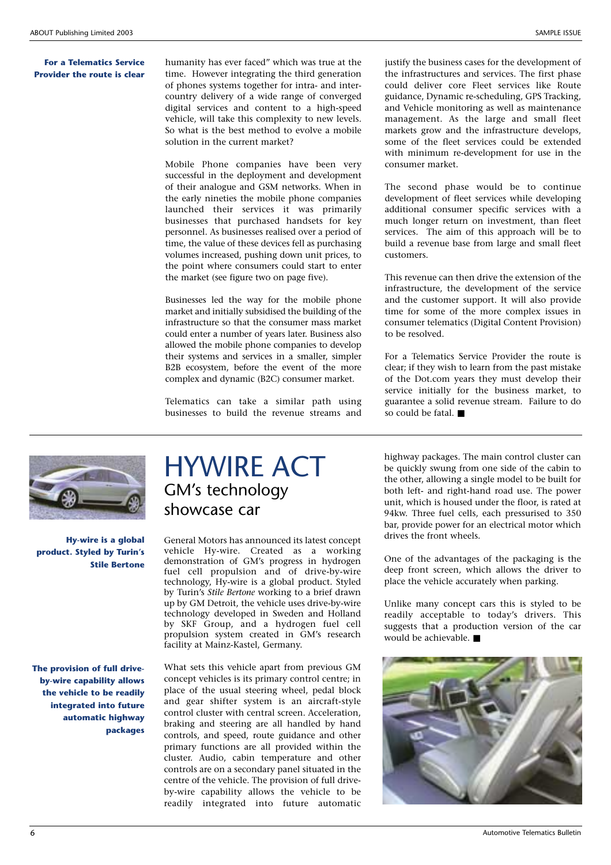#### **For a Telematics Service Provider the route is clear**

humanity has ever faced" which was true at the time. However integrating the third generation of phones systems together for intra- and intercountry delivery of a wide range of converged digital services and content to a high-speed vehicle, will take this complexity to new levels. So what is the best method to evolve a mobile solution in the current market?

Mobile Phone companies have been very successful in the deployment and development of their analogue and GSM networks. When in the early nineties the mobile phone companies launched their services it was primarily businesses that purchased handsets for key personnel. As businesses realised over a period of time, the value of these devices fell as purchasing volumes increased, pushing down unit prices, to the point where consumers could start to enter the market (see figure two on page five).

Businesses led the way for the mobile phone market and initially subsidised the building of the infrastructure so that the consumer mass market could enter a number of years later. Business also allowed the mobile phone companies to develop their systems and services in a smaller, simpler B<sub>2B</sub> ecosystem, before the event of the more complex and dynamic (B2C) consumer market.

Telematics can take a similar path using businesses to build the revenue streams and

justify the business cases for the development of the infrastructures and services. The first phase could deliver core Fleet services like Route guidance, Dynamic re-scheduling, GPS Tracking, and Vehicle monitoring as well as maintenance management. As the large and small fleet markets grow and the infrastructure develops, some of the fleet services could be extended with minimum re-development for use in the consumer market.

The second phase would be to continue development of fleet services while developing additional consumer specific services with a much longer return on investment, than fleet services. The aim of this approach will be to build a revenue base from large and small fleet customers.

This revenue can then drive the extension of the infrastructure, the development of the service and the customer support. It will also provide time for some of the more complex issues in consumer telematics (Digital Content Provision) to be resolved.

For a Telematics Service Provider the route is clear; if they wish to learn from the past mistake of the Dot.com years they must develop their service initially for the business market, to guarantee a solid revenue stream. Failure to do so could be fatal. ■



**Hy-wire is a global product. Styled by Turin's Stile Bertone**

**The provision of full driveby-wire capability allows the vehicle to be readily integrated into future automatic highway packages**

### HYWIRE ACT GM's technology showcase car

General Motors has announced its latest concept vehicle Hy-wire. Created as a working demonstration of GM's progress in hydrogen fuel cell propulsion and of drive-by-wire technology, Hy-wire is a global product. Styled by Turin's *Stile Bertone* working to a brief drawn up by GM Detroit, the vehicle uses drive-by-wire technology developed in Sweden and Holland by SKF Group, and a hydrogen fuel cell propulsion system created in GM's research facility at Mainz-Kastel, Germany.

What sets this vehicle apart from previous GM concept vehicles is its primary control centre; in place of the usual steering wheel, pedal block and gear shifter system is an aircraft-style control cluster with central screen. Acceleration, braking and steering are all handled by hand controls, and speed, route guidance and other primary functions are all provided within the cluster. Audio, cabin temperature and other controls are on a secondary panel situated in the centre of the vehicle. The provision of full driveby-wire capability allows the vehicle to be readily integrated into future automatic

highway packages. The main control cluster can be quickly swung from one side of the cabin to the other, allowing a single model to be built for both left- and right-hand road use. The power unit, which is housed under the floor, is rated at 94kw. Three fuel cells, each pressurised to 350 bar, provide power for an electrical motor which drives the front wheels.

One of the advantages of the packaging is the deep front screen, which allows the driver to place the vehicle accurately when parking.

Unlike many concept cars this is styled to be readily acceptable to today's drivers. This suggests that a production version of the car would be achievable. ■

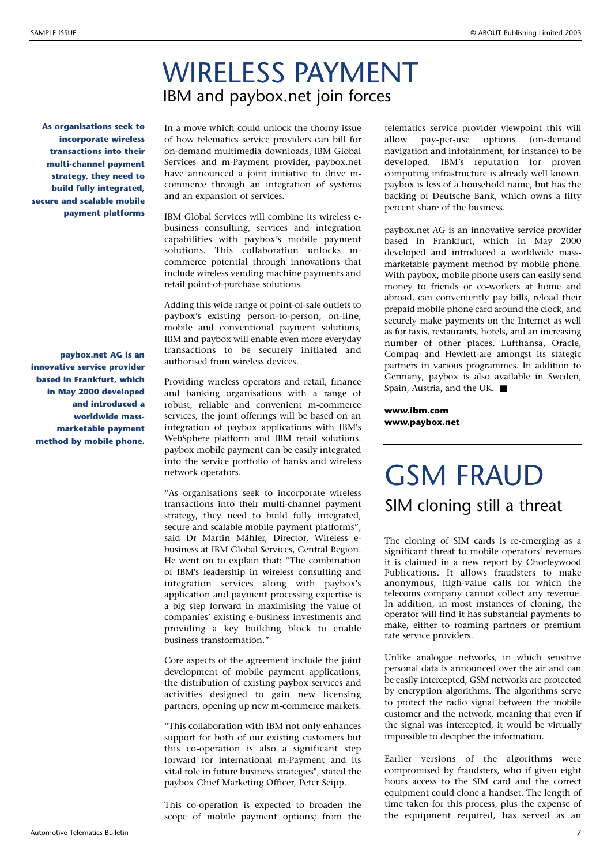### WIRELESS PAYMENT IBM and paybox.net join forces

**As organisations seek to incorporate wireless transactions into their multi-channel payment strategy, they need to build fully integrated, secure and scalable mobile payment platforms**

**paybox.net AG is an innovative service provider based in Frankfurt, which in May 2000 developed and introduced a worldwide massmarketable payment method by mobile phone.** 

In a move which could unlock the thorny issue of how telematics service providers can bill for on-demand multimedia downloads, IBM Global Services and m-Payment provider, paybox.net have announced a joint initiative to drive mcommerce through an integration of systems and an expansion of services.

IBM Global Services will combine its wireless ebusiness consulting, services and integration capabilities with paybox's mobile payment solutions. This collaboration unlocks mcommerce potential through innovations that include wireless vending machine payments and retail point-of-purchase solutions.

Adding this wide range of point-of-sale outlets to paybox's existing person-to-person, on-line, mobile and conventional payment solutions, IBM and paybox will enable even more everyday transactions to be securely initiated and authorised from wireless devices.

Providing wireless operators and retail, finance and banking organisations with a range of robust, reliable and convenient m-commerce services, the joint offerings will be based on an integration of paybox applications with IBM's WebSphere platform and IBM retail solutions. paybox mobile payment can be easily integrated into the service portfolio of banks and wireless network operators.

"As organisations seek to incorporate wireless transactions into their multi-channel payment strategy, they need to build fully integrated, secure and scalable mobile payment platforms", said Dr Martin Mähler, Director, Wireless ebusiness at IBM Global Services, Central Region. He went on to explain that: "The combination of IBM's leadership in wireless consulting and integration services along with paybox's application and payment processing expertise is a big step forward in maximising the value of companies' existing e-business investments and providing a key building block to enable business transformation."

Core aspects of the agreement include the joint development of mobile payment applications, the distribution of existing paybox services and activities designed to gain new licensing partners, opening up new m-commerce markets.

"This collaboration with IBM not only enhances support for both of our existing customers but this co-operation is also a significant step forward for international m-Payment and its vital role in future business strategies", stated the paybox Chief Marketing Officer, Peter Seipp.

This co-operation is expected to broaden the scope of mobile payment options; from the telematics service provider viewpoint this will allow pay-per-use options (on-demand navigation and infotainment, for instance) to be developed. IBM's reputation for proven computing infrastructure is already well known. paybox is less of a household name, but has the backing of Deutsche Bank, which owns a fifty percent share of the business.

paybox.net AG is an innovative service provider based in Frankfurt, which in May 2000 developed and introduced a worldwide massmarketable payment method by mobile phone. With paybox, mobile phone users can easily send money to friends or co-workers at home and abroad, can conveniently pay bills, reload their prepaid mobile phone card around the clock, and securely make payments on the Internet as well as for taxis, restaurants, hotels, and an increasing number of other places. Lufthansa, Oracle, Compaq and Hewlett-are amongst its stategic partners in various programmes. In addition to Germany, paybox is also available in Sweden, Spain, Austria, and the UK. ■

**www.ibm.com www.paybox.net**

### GSM FRAUD SIM cloning still a threat

The cloning of SIM cards is re-emerging as a significant threat to mobile operators' revenues it is claimed in a new report by Chorleywood Publications. It allows fraudsters to make anonymous, high-value calls for which the telecoms company cannot collect any revenue. In addition, in most instances of cloning, the operator will find it has substantial payments to make, either to roaming partners or premium rate service providers.

Unlike analogue networks, in which sensitive personal data is announced over the air and can be easily intercepted, GSM networks are protected by encryption algorithms. The algorithms serve to protect the radio signal between the mobile customer and the network, meaning that even if the signal was intercepted, it would be virtually impossible to decipher the information.

Earlier versions of the algorithms were compromised by fraudsters, who if given eight hours access to the SIM card and the correct equipment could clone a handset. The length of time taken for this process, plus the expense of the equipment required, has served as an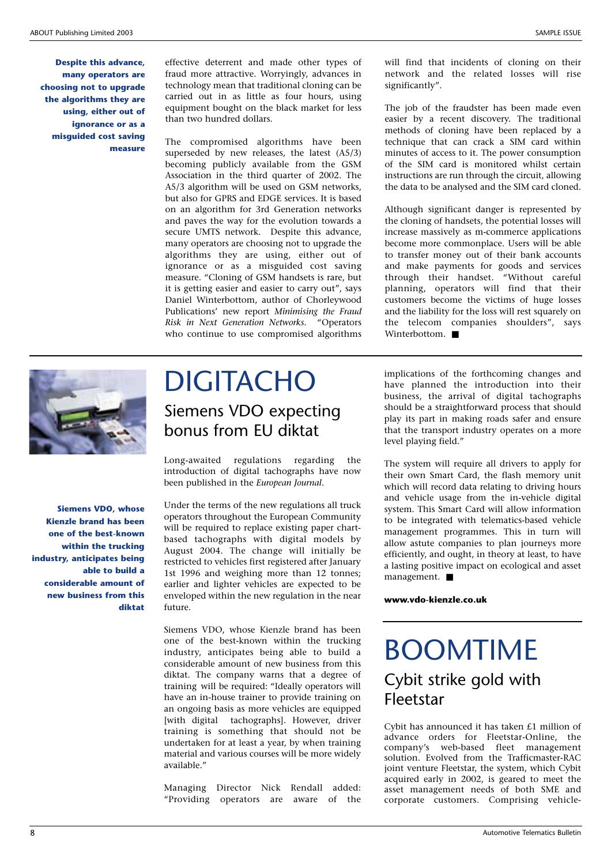**Despite this advance, many operators are choosing not to upgrade the algorithms they are using, either out of ignorance or as a misguided cost saving measure**

effective deterrent and made other types of fraud more attractive. Worryingly, advances in technology mean that traditional cloning can be carried out in as little as four hours, using equipment bought on the black market for less than two hundred dollars.

The compromised algorithms have been superseded by new releases, the latest (A5/3) becoming publicly available from the GSM Association in the third quarter of 2002. The A5/3 algorithm will be used on GSM networks, but also for GPRS and EDGE services. It is based on an algorithm for 3rd Generation networks and paves the way for the evolution towards a secure UMTS network. Despite this advance, many operators are choosing not to upgrade the algorithms they are using, either out of ignorance or as a misguided cost saving measure. "Cloning of GSM handsets is rare, but it is getting easier and easier to carry out", says Daniel Winterbottom, author of Chorleywood Publications' new report *Minimising the Fraud Risk in Next Generation Networks.* "Operators who continue to use compromised algorithms

will find that incidents of cloning on their network and the related losses will rise significantly".

The job of the fraudster has been made even easier by a recent discovery. The traditional methods of cloning have been replaced by a technique that can crack a SIM card within minutes of access to it. The power consumption of the SIM card is monitored whilst certain instructions are run through the circuit, allowing the data to be analysed and the SIM card cloned.

Although significant danger is represented by the cloning of handsets, the potential losses will increase massively as m-commerce applications become more commonplace. Users will be able to transfer money out of their bank accounts and make payments for goods and services through their handset. "Without careful planning, operators will find that their customers become the victims of huge losses and the liability for the loss will rest squarely on the telecom companies shoulders", says Winterbottom. ■



### DIGITACHO Siemens VDO expecting bonus from EU diktat

Long-awaited regulations regarding the introduction of digital tachographs have now been published in the *European Journal*.

**Siemens VDO, whose Kienzle brand has been one of the best-known within the trucking industry, anticipates being able to build a considerable amount of new business from this diktat**

Under the terms of the new regulations all truck operators throughout the European Community will be required to replace existing paper chartbased tachographs with digital models by August 2004. The change will initially be restricted to vehicles first registered after January 1st 1996 and weighing more than 12 tonnes; earlier and lighter vehicles are expected to be enveloped within the new regulation in the near future.

Siemens VDO, whose Kienzle brand has been one of the best-known within the trucking industry, anticipates being able to build a considerable amount of new business from this diktat. The company warns that a degree of training will be required: "Ideally operators will have an in-house trainer to provide training on an ongoing basis as more vehicles are equipped [with digital tachographs]. However, driver training is something that should not be undertaken for at least a year, by when training material and various courses will be more widely available."

Managing Director Nick Rendall added: "Providing operators are aware of the implications of the forthcoming changes and have planned the introduction into their business, the arrival of digital tachographs should be a straightforward process that should play its part in making roads safer and ensure that the transport industry operates on a more level playing field."

The system will require all drivers to apply for their own Smart Card, the flash memory unit which will record data relating to driving hours and vehicle usage from the in-vehicle digital system. This Smart Card will allow information to be integrated with telematics-based vehicle management programmes. This in turn will allow astute companies to plan journeys more efficiently, and ought, in theory at least, to have a lasting positive impact on ecological and asset management. ■

**www.vdo-kienzle.co.uk**

### BOOMTIME Cybit strike gold with Fleetstar

Cybit has announced it has taken £1 million of advance orders for Fleetstar-Online, the company's web-based fleet management solution. Evolved from the Trafficmaster-RAC joint venture Fleetstar, the system, which Cybit acquired early in 2002, is geared to meet the asset management needs of both SME and corporate customers. Comprising vehicle-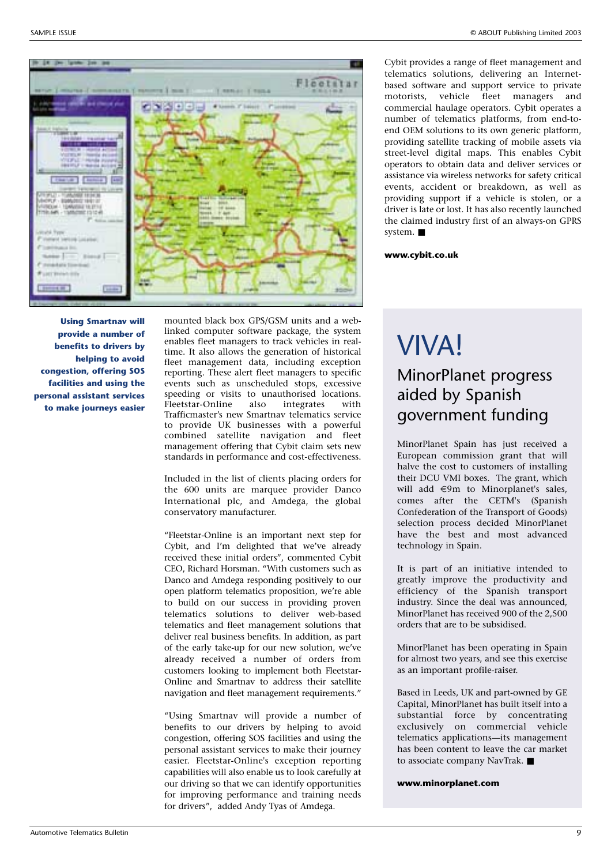

**Using Smartnav will provide a number of benefits to drivers by helping to avoid congestion, offering SOS facilities and using the personal assistant services to make journeys easier**

mounted black box GPS/GSM units and a weblinked computer software package, the system enables fleet managers to track vehicles in realtime. It also allows the generation of historical fleet management data, including exception reporting. These alert fleet managers to specific events such as unscheduled stops, excessive speeding or visits to unauthorised locations.<br>Fleetstar-Online also integrates with Fleetstar-Online Trafficmaster's new Smartnav telematics service to provide UK businesses with a powerful combined satellite navigation and fleet management offering that Cybit claim sets new standards in performance and cost-effectiveness.

Included in the list of clients placing orders for the 600 units are marquee provider Danco International plc, and Amdega, the global conservatory manufacturer.

"Fleetstar-Online is an important next step for Cybit, and I'm delighted that we've already received these initial orders", commented Cybit CEO, Richard Horsman. "With customers such as Danco and Amdega responding positively to our open platform telematics proposition, we're able to build on our success in providing proven telematics solutions to deliver web-based telematics and fleet management solutions that deliver real business benefits. In addition, as part of the early take-up for our new solution, we've already received a number of orders from customers looking to implement both Fleetstar-Online and Smartnav to address their satellite navigation and fleet management requirements."

"Using Smartnav will provide a number of benefits to our drivers by helping to avoid congestion, offering SOS facilities and using the personal assistant services to make their journey easier. Fleetstar-Online's exception reporting capabilities will also enable us to look carefully at our driving so that we can identify opportunities for improving performance and training needs for drivers", added Andy Tyas of Amdega.

Cybit provides a range of fleet management and telematics solutions, delivering an Internetbased software and support service to private motorists, vehicle fleet managers and commercial haulage operators. Cybit operates a number of telematics platforms, from end-toend OEM solutions to its own generic platform, providing satellite tracking of mobile assets via street-level digital maps. This enables Cybit operators to obtain data and deliver services or assistance via wireless networks for safety critical events, accident or breakdown, as well as providing support if a vehicle is stolen, or a driver is late or lost. It has also recently launched the claimed industry first of an always-on GPRS system. ■

**www.cybit.co.uk**

### VIVA! MinorPlanet progress aided by Spanish government funding

MinorPlanet Spain has just received a European commission grant that will halve the cost to customers of installing their DCU VMI boxes. The grant, which will add  $\in$ 9m to Minorplanet's sales, comes after the CETM's (Spanish Confederation of the Transport of Goods) selection process decided MinorPlanet have the best and most advanced technology in Spain.

It is part of an initiative intended to greatly improve the productivity and efficiency of the Spanish transport industry. Since the deal was announced, MinorPlanet has received 900 of the 2,500 orders that are to be subsidised.

MinorPlanet has been operating in Spain for almost two years, and see this exercise as an important profile-raiser.

Based in Leeds, UK and part-owned by GE Capital, MinorPlanet has built itself into a substantial force by concentrating exclusively on commercial vehicle telematics applications—its management has been content to leave the car market to associate company NavTrak. ■

**www.minorplanet.com**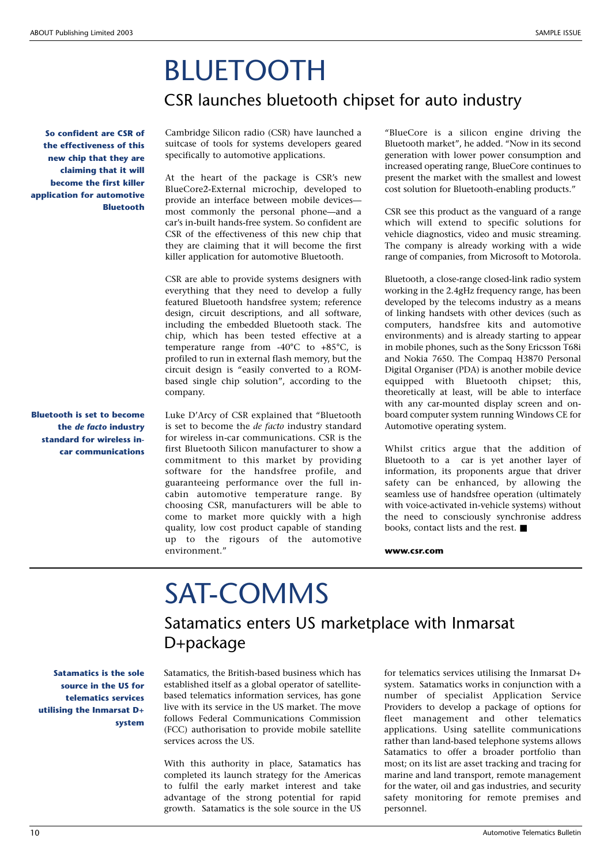### BLUETOOTH CSR launches bluetooth chipset for auto industry

**So confident are CSR of the effectiveness of this new chip that they are claiming that it will become the first killer application for automotive Bluetooth**

**Bluetooth is set to become the** *de facto* **industry standard for wireless incar communications** Cambridge Silicon radio (CSR) have launched a suitcase of tools for systems developers geared specifically to automotive applications.

At the heart of the package is CSR's new BlueCore2-External microchip, developed to provide an interface between mobile devices most commonly the personal phone—and a car's in-built hands-free system. So confident are CSR of the effectiveness of this new chip that they are claiming that it will become the first killer application for automotive Bluetooth.

CSR are able to provide systems designers with everything that they need to develop a fully featured Bluetooth handsfree system; reference design, circuit descriptions, and all software, including the embedded Bluetooth stack. The chip, which has been tested effective at a temperature range from -40°C to +85°C, is profiled to run in external flash memory, but the circuit design is "easily converted to a ROMbased single chip solution", according to the company.

Luke D'Arcy of CSR explained that "Bluetooth is set to become the *de facto* industry standard for wireless in-car communications. CSR is the first Bluetooth Silicon manufacturer to show a commitment to this market by providing software for the handsfree profile, and guaranteeing performance over the full incabin automotive temperature range. By choosing CSR, manufacturers will be able to come to market more quickly with a high quality, low cost product capable of standing up to the rigours of the automotive environment."

"BlueCore is a silicon engine driving the Bluetooth market", he added. "Now in its second generation with lower power consumption and increased operating range, BlueCore continues to present the market with the smallest and lowest cost solution for Bluetooth-enabling products."

CSR see this product as the vanguard of a range which will extend to specific solutions for vehicle diagnostics, video and music streaming. The company is already working with a wide range of companies, from Microsoft to Motorola.

Bluetooth, a close-range closed-link radio system working in the 2.4gHz frequency range, has been developed by the telecoms industry as a means of linking handsets with other devices (such as computers, handsfree kits and automotive environments) and is already starting to appear in mobile phones, such as the Sony Ericsson T68i and Nokia 7650. The Compaq H3870 Personal Digital Organiser (PDA) is another mobile device equipped with Bluetooth chipset; this, theoretically at least, will be able to interface with any car-mounted display screen and onboard computer system running Windows CE for Automotive operating system.

Whilst critics argue that the addition of Bluetooth to a car is yet another layer of information, its proponents argue that driver safety can be enhanced, by allowing the seamless use of handsfree operation (ultimately with voice-activated in-vehicle systems) without the need to consciously synchronise address books, contact lists and the rest. ■

**www.csr.com**

## SAT-COMMS

### Satamatics enters US marketplace with Inmarsat D+package

**Satamatics is the sole source in the US for telematics services utilising the Inmarsat D+ system**

Satamatics, the British-based business which has established itself as a global operator of satellitebased telematics information services, has gone live with its service in the US market. The move follows Federal Communications Commission (FCC) authorisation to provide mobile satellite services across the US.

With this authority in place, Satamatics has completed its launch strategy for the Americas to fulfil the early market interest and take advantage of the strong potential for rapid growth. Satamatics is the sole source in the US for telematics services utilising the Inmarsat D+ system. Satamatics works in conjunction with a number of specialist Application Service Providers to develop a package of options for fleet management and other telematics applications. Using satellite communications rather than land-based telephone systems allows Satamatics to offer a broader portfolio than most; on its list are asset tracking and tracing for marine and land transport, remote management for the water, oil and gas industries, and security safety monitoring for remote premises and personnel.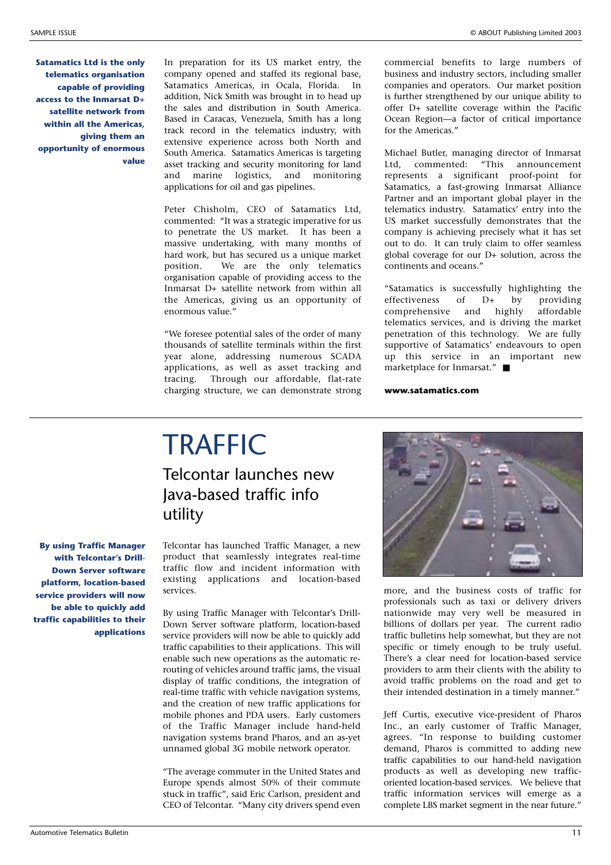**Satamatics Ltd is the only telematics organisation capable of providing access to the Inmarsat D+ satellite network from within all the Americas, giving them an opportunity of enormous value** In preparation for its US market entry, the company opened and staffed its regional base, Satamatics Americas, in Ocala, Florida. In addition, Nick Smith was brought in to head up the sales and distribution in South America. Based in Caracas, Venezuela, Smith has a long track record in the telematics industry, with extensive experience across both North and South America. Satamatics Americas is targeting asset tracking and security monitoring for land and marine logistics, and monitoring applications for oil and gas pipelines.

Peter Chisholm, CEO of Satamatics Ltd, commented: "It was a strategic imperative for us to penetrate the US market. It has been a massive undertaking, with many months of hard work, but has secured us a unique market position. We are the only telematics organisation capable of providing access to the Inmarsat D+ satellite network from within all the Americas, giving us an opportunity of enormous value."

"We foresee potential sales of the order of many thousands of satellite terminals within the first year alone, addressing numerous SCADA applications, as well as asset tracking and tracing. Through our affordable, flat-rate charging structure, we can demonstrate strong commercial benefits to large numbers of business and industry sectors, including smaller companies and operators. Our market position is further strengthened by our unique ability to offer D+ satellite coverage within the Pacific Ocean Region—a factor of critical importance for the Americas."

Michael Butler, managing director of Inmarsat Ltd, commented: "This announcement represents a significant proof-point for Satamatics, a fast-growing Inmarsat Alliance Partner and an important global player in the telematics industry. Satamatics' entry into the US market successfully demonstrates that the company is achieving precisely what it has set out to do. It can truly claim to offer seamless global coverage for our D+ solution, across the continents and oceans."

"Satamatics is successfully highlighting the effectiveness of D+ by providing comprehensive and highly affordable telematics services, and is driving the market penetration of this technology. We are fully supportive of Satamatics' endeavours to open up this service in an important new marketplace for Inmarsat." ■

**www.satamatics.com**

### **TRAFFIC** Telcontar launches new Java-based traffic info utility

Telcontar has launched Traffic Manager, a new product that seamlessly integrates real-time traffic flow and incident information with existing applications and location-based services.

By using Traffic Manager with Telcontar's Drill-Down Server software platform, location-based service providers will now be able to quickly add traffic capabilities to their applications. This will enable such new operations as the automatic rerouting of vehicles around traffic jams, the visual display of traffic conditions, the integration of real-time traffic with vehicle navigation systems, and the creation of new traffic applications for mobile phones and PDA users. Early customers of the Traffic Manager include hand-held navigation systems brand Pharos, and an as-yet unnamed global 3G mobile network operator.

"The average commuter in the United States and Europe spends almost 50% of their commute stuck in traffic", said Eric Carlson, president and CEO of Telcontar. "Many city drivers spend even



more, and the business costs of traffic for professionals such as taxi or delivery drivers nationwide may very well be measured in billions of dollars per year. The current radio traffic bulletins help somewhat, but they are not specific or timely enough to be truly useful. There's a clear need for location-based service providers to arm their clients with the ability to avoid traffic problems on the road and get to their intended destination in a timely manner."

Jeff Curtis, executive vice-president of Pharos Inc., an early customer of Traffic Manager, agrees. "In response to building customer demand, Pharos is committed to adding new traffic capabilities to our hand-held navigation products as well as developing new trafficoriented location-based services. We believe that traffic information services will emerge as a complete LBS market segment in the near future."

**By using Traffic Manager with Telcontar's Drill-Down Server software platform, location-based service providers will now be able to quickly add traffic capabilities to their applications**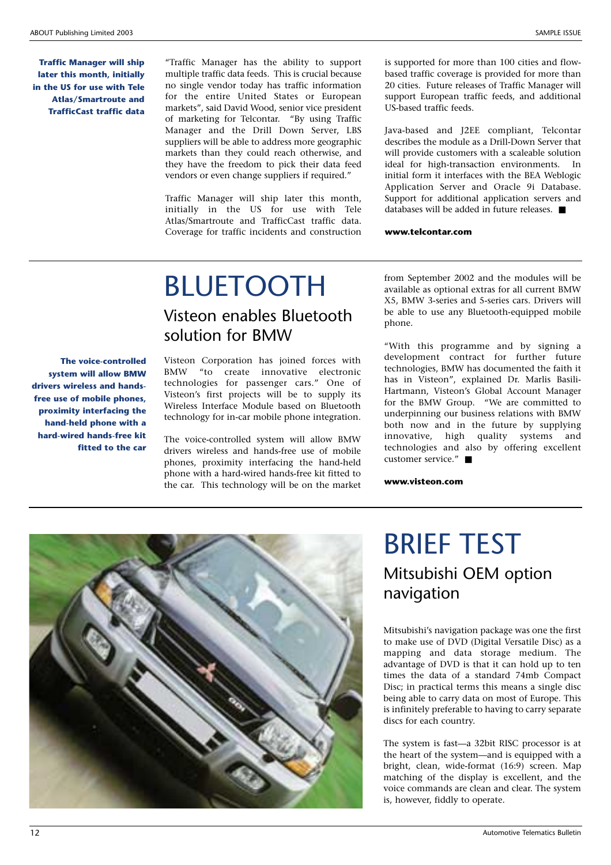**Traffic Manager will ship later this month, initially in the US for use with Tele Atlas/Smartroute and TrafficCast traffic data**

"Traffic Manager has the ability to support multiple traffic data feeds. This is crucial because no single vendor today has traffic information for the entire United States or European markets", said David Wood, senior vice president of marketing for Telcontar. "By using Traffic Manager and the Drill Down Server, LBS suppliers will be able to address more geographic markets than they could reach otherwise, and they have the freedom to pick their data feed vendors or even change suppliers if required."

Traffic Manager will ship later this month, initially in the US for use with Tele Atlas/Smartroute and TrafficCast traffic data. Coverage for traffic incidents and construction

is supported for more than 100 cities and flowbased traffic coverage is provided for more than 20 cities. Future releases of Traffic Manager will support European traffic feeds, and additional US-based traffic feeds.

Java-based and J2EE compliant, Telcontar describes the module as a Drill-Down Server that will provide customers with a scaleable solution ideal for high-transaction environments. In initial form it interfaces with the BEA Weblogic Application Server and Oracle 9i Database. Support for additional application servers and databases will be added in future releases. ■

#### **www.telcontar.com**

### BLUETOOTH Visteon enables Bluetooth solution for BMW

**The voice-controlled system will allow BMW drivers wireless and handsfree use of mobile phones, proximity interfacing the hand-held phone with a hard-wired hands-free kit fitted to the car** Visteon Corporation has joined forces with BMW "to create innovative electronic technologies for passenger cars." One of Visteon's first projects will be to supply its Wireless Interface Module based on Bluetooth technology for in-car mobile phone integration.

The voice-controlled system will allow BMW drivers wireless and hands-free use of mobile phones, proximity interfacing the hand-held phone with a hard-wired hands-free kit fitted to the car. This technology will be on the market from September 2002 and the modules will be available as optional extras for all current BMW X5, BMW 3-series and 5-series cars. Drivers will be able to use any Bluetooth-equipped mobile phone.

"With this programme and by signing a development contract for further future technologies, BMW has documented the faith it has in Visteon", explained Dr. Marlis Basili-Hartmann, Visteon's Global Account Manager for the BMW Group. "We are committed to underpinning our business relations with BMW both now and in the future by supplying innovative, high quality systems and technologies and also by offering excellent customer service." ■

**www.visteon.com**



### BRIEF TEST Mitsubishi OEM option navigation

Mitsubishi's navigation package was one the first to make use of DVD (Digital Versatile Disc) as a mapping and data storage medium. The advantage of DVD is that it can hold up to ten times the data of a standard 74mb Compact Disc; in practical terms this means a single disc being able to carry data on most of Europe. This is infinitely preferable to having to carry separate discs for each country.

The system is fast—a 32bit RISC processor is at the heart of the system—and is equipped with a bright, clean, wide-format (16:9) screen. Map matching of the display is excellent, and the voice commands are clean and clear. The system is, however, fiddly to operate.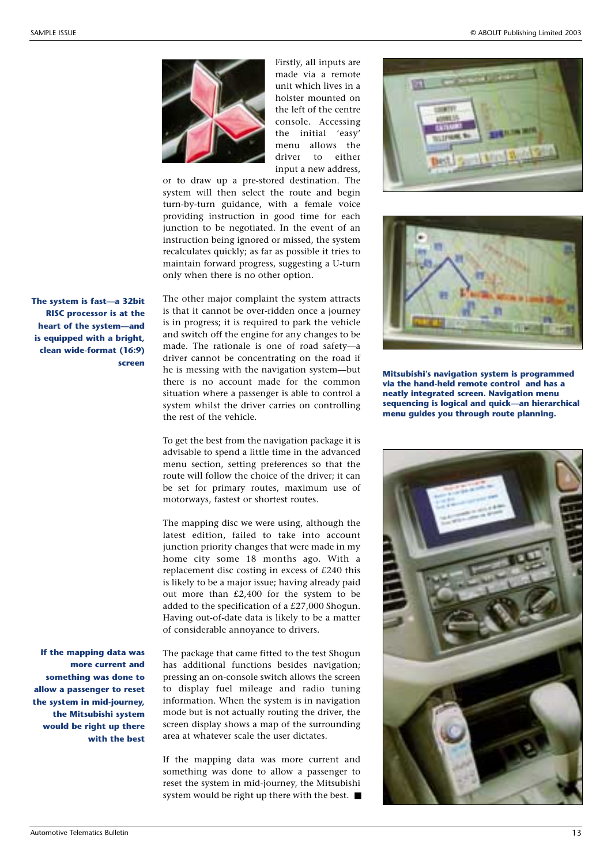

Firstly, all inputs are made via a remote unit which lives in a holster mounted on the left of the centre console. Accessing the initial 'easy' menu allows the driver to either input a new address,

or to draw up a pre-stored destination. The system will then select the route and begin turn-by-turn guidance, with a female voice providing instruction in good time for each junction to be negotiated. In the event of an instruction being ignored or missed, the system recalculates quickly; as far as possible it tries to maintain forward progress, suggesting a U-turn only when there is no other option.

The other major complaint the system attracts is that it cannot be over-ridden once a journey is in progress; it is required to park the vehicle and switch off the engine for any changes to be made. The rationale is one of road safety—a driver cannot be concentrating on the road if he is messing with the navigation system—but there is no account made for the common situation where a passenger is able to control a system whilst the driver carries on controlling the rest of the vehicle.

To get the best from the navigation package it is advisable to spend a little time in the advanced menu section, setting preferences so that the route will follow the choice of the driver; it can be set for primary routes, maximum use of motorways, fastest or shortest routes.

The mapping disc we were using, although the latest edition, failed to take into account junction priority changes that were made in my home city some 18 months ago. With a replacement disc costing in excess of £240 this is likely to be a major issue; having already paid out more than £2,400 for the system to be added to the specification of a £27,000 Shogun. Having out-of-date data is likely to be a matter of considerable annoyance to drivers.

**If the mapping data was more current and something was done to allow a passenger to reset the system in mid-journey, the Mitsubishi system would be right up there with the best**

**The system is fast—a 32bit RISC processor is at the heart of the system—and is equipped with a bright, clean wide-format (16:9)**

**screen**

The package that came fitted to the test Shogun has additional functions besides navigation; pressing an on-console switch allows the screen to display fuel mileage and radio tuning information. When the system is in navigation mode but is not actually routing the driver, the screen display shows a map of the surrounding area at whatever scale the user dictates.

If the mapping data was more current and something was done to allow a passenger to reset the system in mid-journey, the Mitsubishi system would be right up there with the best. ■





**Mitsubishi's navigation system is programmed via the hand-held remote control and has a neatly integrated screen. Navigation menu sequencing is logical and quick—an hierarchical menu guides you through route planning.**

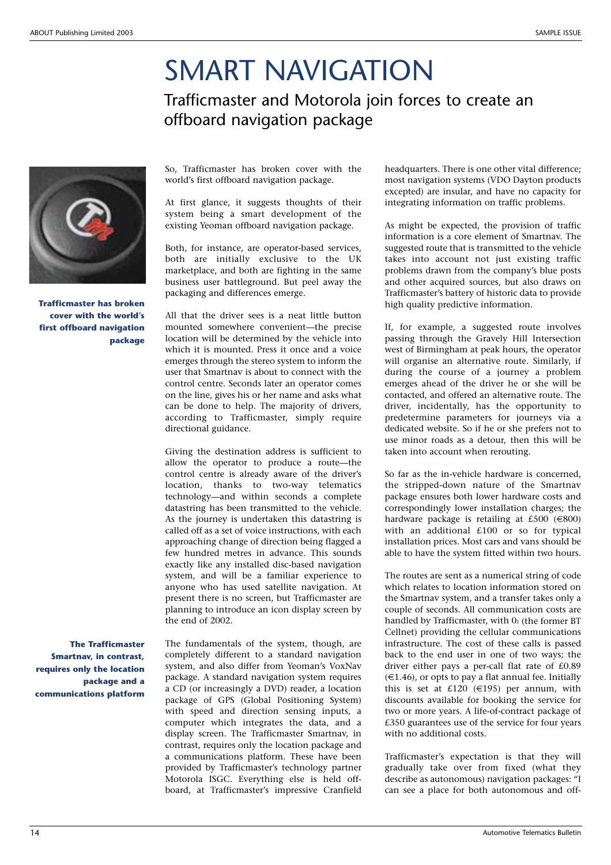### SMART NAVIGATION Trafficmaster and Motorola join forces to create an offboard navigation package

**Trafficmaster has broken cover with the world's first offboard navigation package**

**The Trafficmaster Smartnav, in contrast, requires only the location package and a communications platform**

So, Trafficmaster has broken cover with the world's first offboard navigation package.

At first glance, it suggests thoughts of their system being a smart development of the existing Yeoman offboard navigation package.

Both, for instance, are operator-based services, both are initially exclusive to the UK marketplace, and both are fighting in the same business user battleground. But peel away the packaging and differences emerge.

All that the driver sees is a neat little button mounted somewhere convenient—the precise location will be determined by the vehicle into which it is mounted. Press it once and a voice emerges through the stereo system to inform the user that Smartnav is about to connect with the control centre. Seconds later an operator comes on the line, gives his or her name and asks what can be done to help. The majority of drivers, according to Trafficmaster, simply require directional guidance.

Giving the destination address is sufficient to allow the operator to produce a route—the control centre is already aware of the driver's location, thanks to two-way telematics technology—and within seconds a complete datastring has been transmitted to the vehicle. As the journey is undertaken this datastring is called off as a set of voice instructions, with each approaching change of direction being flagged a few hundred metres in advance. This sounds exactly like any installed disc-based navigation system, and will be a familiar experience to anyone who has used satellite navigation. At present there is no screen, but Trafficmaster are planning to introduce an icon display screen by the end of 2002.

The fundamentals of the system, though, are completely different to a standard navigation system, and also differ from Yeoman's VoxNav package. A standard navigation system requires a CD (or increasingly a DVD) reader, a location package of GPS (Global Positioning System) with speed and direction sensing inputs, a computer which integrates the data, and a display screen. The Trafficmaster Smartnav, in contrast, requires only the location package and a communications platform. These have been provided by Trafficmaster's technology partner Motorola ISGC. Everything else is held offboard, at Trafficmaster's impressive Cranfield headquarters. There is one other vital difference; most navigation systems (VDO Dayton products excepted) are insular, and have no capacity for integrating information on traffic problems.

As might be expected, the provision of traffic information is a core element of Smartnav. The suggested route that is transmitted to the vehicle takes into account not just existing traffic problems drawn from the company's blue posts and other acquired sources, but also draws on Trafficmaster's battery of historic data to provide high quality predictive information.

If, for example, a suggested route involves passing through the Gravely Hill Intersection west of Birmingham at peak hours, the operator will organise an alternative route. Similarly, if during the course of a journey a problem emerges ahead of the driver he or she will be contacted, and offered an alternative route. The driver, incidentally, has the opportunity to predetermine parameters for journeys via a dedicated website. So if he or she prefers not to use minor roads as a detour, then this will be taken into account when rerouting.

So far as the in-vehicle hardware is concerned, the stripped-down nature of the Smartnav package ensures both lower hardware costs and correspondingly lower installation charges; the hardware package is retailing at £500 ( $\in$ 800) with an additional £100 or so for typical installation prices. Most cars and vans should be able to have the system fitted within two hours.

The routes are sent as a numerical string of code which relates to location information stored on the Smartnav system, and a transfer takes only a couple of seconds. All communication costs are handled by Trafficmaster, with  $0<sub>2</sub>$  (the former BT Cellnet) providing the cellular communications infrastructure. The cost of these calls is passed back to the end user in one of two ways; the driver either pays a per-call flat rate of £0.89  $(€1.46)$ , or opts to pay a flat annual fee. Initially this is set at £120 ( $\in$ 195) per annum, with discounts available for booking the service for two or more years. A life-of-contract package of £350 guarantees use of the service for four years with no additional costs.

Trafficmaster's expectation is that they will gradually take over from fixed (what they describe as autonomous) navigation packages: "I can see a place for both autonomous and off-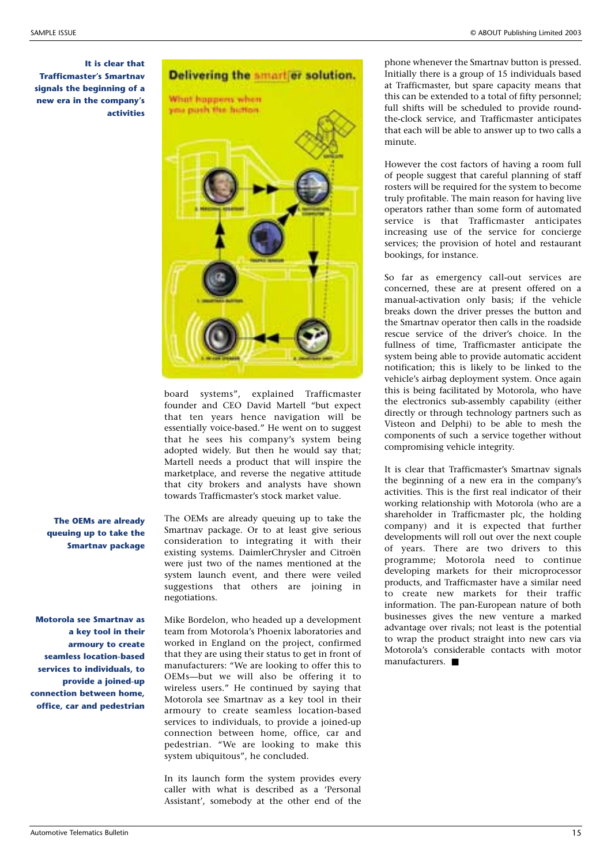**It is clear that Trafficmaster's Smartnav signals the beginning of a new era in the company's activities**



board systems", explained Trafficmaster founder and CEO David Martell "but expect that ten years hence navigation will be essentially voice-based." He went on to suggest that he sees his company's system being adopted widely. But then he would say that; Martell needs a product that will inspire the marketplace, and reverse the negative attitude that city brokers and analysts have shown towards Trafficmaster's stock market value.

**The OEMs are already queuing up to take the Smartnav package**

**Motorola see Smartnav as a key tool in their armoury to create seamless location-based services to individuals, to provide a joined-up connection between home, office, car and pedestrian**

The OEMs are already queuing up to take the Smartnav package. Or to at least give serious consideration to integrating it with their existing systems. DaimlerChrysler and Citroën were just two of the names mentioned at the system launch event, and there were veiled suggestions that others are joining in negotiations.

Mike Bordelon, who headed up a development team from Motorola's Phoenix laboratories and worked in England on the project, confirmed that they are using their status to get in front of manufacturers: "We are looking to offer this to OEMs—but we will also be offering it to wireless users." He continued by saying that Motorola see Smartnav as a key tool in their armoury to create seamless location-based services to individuals, to provide a joined-up connection between home, office, car and pedestrian. "We are looking to make this system ubiquitous", he concluded.

In its launch form the system provides every caller with what is described as a 'Personal Assistant', somebody at the other end of the

phone whenever the Smartnav button is pressed. Initially there is a group of 15 individuals based at Trafficmaster, but spare capacity means that this can be extended to a total of fifty personnel; full shifts will be scheduled to provide roundthe-clock service, and Trafficmaster anticipates that each will be able to answer up to two calls a minute.

However the cost factors of having a room full of people suggest that careful planning of staff rosters will be required for the system to become truly profitable. The main reason for having live operators rather than some form of automated service is that Trafficmaster anticipates increasing use of the service for concierge services; the provision of hotel and restaurant bookings, for instance.

So far as emergency call-out services are concerned, these are at present offered on a manual-activation only basis; if the vehicle breaks down the driver presses the button and the Smartnav operator then calls in the roadside rescue service of the driver's choice. In the fullness of time, Trafficmaster anticipate the system being able to provide automatic accident notification; this is likely to be linked to the vehicle's airbag deployment system. Once again this is being facilitated by Motorola, who have the electronics sub-assembly capability (either directly or through technology partners such as Visteon and Delphi) to be able to mesh the components of such a service together without compromising vehicle integrity.

It is clear that Trafficmaster's Smartnav signals the beginning of a new era in the company's activities. This is the first real indicator of their working relationship with Motorola (who are a shareholder in Trafficmaster plc, the holding company) and it is expected that further developments will roll out over the next couple of years. There are two drivers to this programme; Motorola need to continue developing markets for their microprocessor products, and Trafficmaster have a similar need to create new markets for their traffic information. The pan-European nature of both businesses gives the new venture a marked advantage over rivals; not least is the potential to wrap the product straight into new cars via Motorola's considerable contacts with motor manufacturers. ■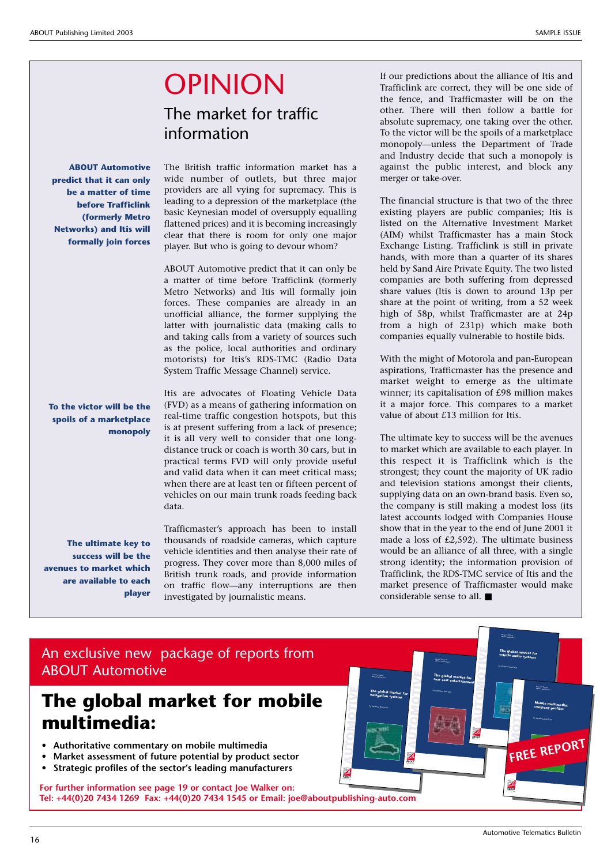## OPINION

### The market for traffic information

**ABOUT Automotive predict that it can only be a matter of time before Trafficlink (formerly Metro Networks) and Itis will formally join forces**

leading to a depression of the marketplace (the basic Keynesian model of oversupply equalling flattened prices) and it is becoming increasingly clear that there is room for only one major player. But who is going to devour whom? ABOUT Automotive predict that it can only be

The British traffic information market has a wide number of outlets, but three major providers are all vying for supremacy. This is

a matter of time before Trafficlink (formerly Metro Networks) and Itis will formally join forces. These companies are already in an unofficial alliance, the former supplying the latter with journalistic data (making calls to and taking calls from a variety of sources such as the police, local authorities and ordinary motorists) for Itis's RDS-TMC (Radio Data System Traffic Message Channel) service.

**To the victor will be the spoils of a marketplace monopoly**

Itis are advocates of Floating Vehicle Data (FVD) as a means of gathering information on real-time traffic congestion hotspots, but this is at present suffering from a lack of presence; it is all very well to consider that one longdistance truck or coach is worth 30 cars, but in practical terms FVD will only provide useful and valid data when it can meet critical mass; when there are at least ten or fifteen percent of vehicles on our main trunk roads feeding back data.

Trafficmaster's approach has been to install thousands of roadside cameras, which capture vehicle identities and then analyse their rate of progress. They cover more than 8,000 miles of British trunk roads, and provide information on traffic flow—any interruptions are then investigated by journalistic means.

> **AUTO MOTIV E**

Research Report ABOUT Automotive **n The global market for avigation systems** by Matthew Beecham

**AUTO MOTIV E**

Research Report ABOUT Automotive **The global market for rear seat entertainment** by Matthew Beecham

**ABOUT AUTOMOTIVE ABOU BOUT STYLE ABOUT ABOUT FOODABOUTABOUT DRINK AB ABOUT** 

**ABOUT AUTOMOTIVE ABOU BOUT STYLE ABOUT ABOUTFOOD ABOUT ABOUT** Publishing Group

If our predictions about the alliance of Itis and Trafficlink are correct, they will be one side of the fence, and Trafficmaster will be on the other. There will then follow a battle for absolute supremacy, one taking over the other. To the victor will be the spoils of a marketplace monopoly—unless the Department of Trade and Industry decide that such a monopoly is against the public interest, and block any merger or take-over.

The financial structure is that two of the three existing players are public companies; Itis is listed on the Alternative Investment Market (AIM) whilst Trafficmaster has a main Stock Exchange Listing. Trafficlink is still in private hands, with more than a quarter of its shares held by Sand Aire Private Equity. The two listed companies are both suffering from depressed share values (Itis is down to around 13p per share at the point of writing, from a 52 week high of 58p, whilst Trafficmaster are at 24p from a high of 231p) which make both companies equally vulnerable to hostile bids.

With the might of Motorola and pan-European aspirations, Trafficmaster has the presence and market weight to emerge as the ultimate winner; its capitalisation of £98 million makes it a major force. This compares to a market value of about £13 million for Itis.

The ultimate key to success will be the avenues to market which are available to each player. In this respect it is Trafficlink which is the strongest; they count the majority of UK radio and television stations amongst their clients, supplying data on an own-brand basis. Even so, the company is still making a modest loss (its latest accounts lodged with Companies House show that in the year to the end of June 2001 it made a loss of £2,592). The ultimate business would be an alliance of all three, with a single strong identity; the information provision of Trafficlink, the RDS-TMC service of Itis and the market presence of Trafficmaster would make considerable sense to all. ■

> **AUTO MOTIV E**

Research Report ABOUT Automotive **v The global market for ehicle audio systems** by Matthew Beecham

**ABOUT DRINKAB ABOUT AUTOMOTIVE ABOU BOUT STYLE ABOUT ABOUTFOOD ABOUT ABOUT** Publishing Group



#### An exclusive new package of reports from ABOUT Automotive

### **The global market for mobile multimedia:**

- **Authoritative commentary on mobile multimedia**
- **Market assessment of future potential by product sector**
- **Strategic profiles of the sector's leading manufacturers**

**For further information see page 19 or contact Joe Walker on: Tel: +44(0)20 7434 1269 Fax: +44(0)20 7434 1545 or Email: joe@aboutpublishing-auto.com** **M FREE REPORT**

Research Report ABOUT Automotive **Mobile multimedia: company profiles** by Matthew Beecham

**AUTO**

**ABOUT AUTOMOTIVE ABOU ABOUT AUTOMOTIVE ABOU BOUT STYLE ABOUT ABOUT FOODABOUTABOUT DRINK AB** ABOUT

**OTIV E**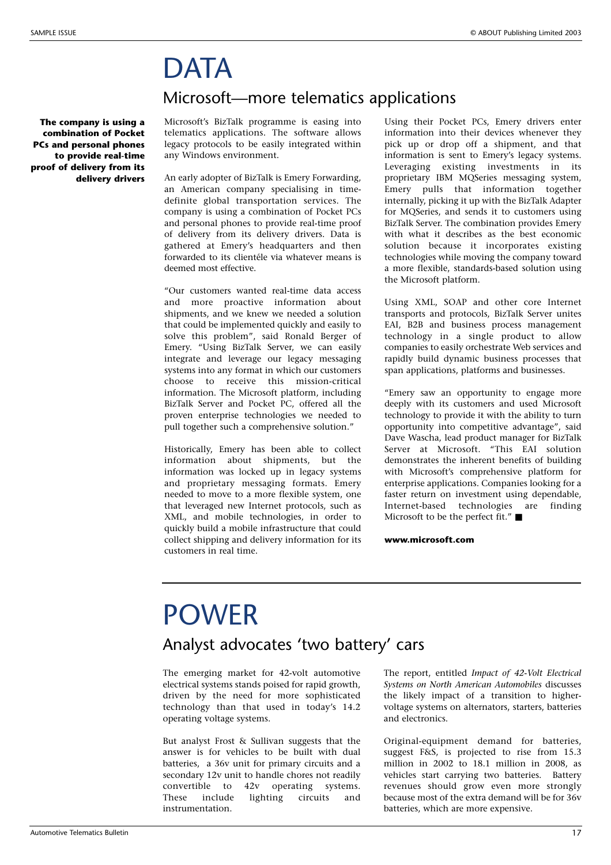## **DATA**

**The company is using a combination of Pocket PCs and personal phones to provide real-time proof of delivery from its delivery drivers** Microsoft's BizTalk programme is easing into telematics applications. The software allows legacy protocols to be easily integrated within any Windows environment.

Microsoft—more telematics applications

An early adopter of BizTalk is Emery Forwarding, an American company specialising in timedefinite global transportation services. The company is using a combination of Pocket PCs and personal phones to provide real-time proof of delivery from its delivery drivers. Data is gathered at Emery's headquarters and then forwarded to its clientéle via whatever means is deemed most effective.

"Our customers wanted real-time data access and more proactive information about shipments, and we knew we needed a solution that could be implemented quickly and easily to solve this problem", said Ronald Berger of Emery. "Using BizTalk Server, we can easily integrate and leverage our legacy messaging systems into any format in which our customers choose to receive this mission-critical information. The Microsoft platform, including BizTalk Server and Pocket PC, offered all the proven enterprise technologies we needed to pull together such a comprehensive solution."

Historically, Emery has been able to collect information about shipments, but the information was locked up in legacy systems and proprietary messaging formats. Emery needed to move to a more flexible system, one that leveraged new Internet protocols, such as XML, and mobile technologies, in order to quickly build a mobile infrastructure that could collect shipping and delivery information for its customers in real time.

Using their Pocket PCs, Emery drivers enter information into their devices whenever they pick up or drop off a shipment, and that information is sent to Emery's legacy systems. Leveraging existing investments in its proprietary IBM MQSeries messaging system, Emery pulls that information together internally, picking it up with the BizTalk Adapter for MQSeries, and sends it to customers using BizTalk Server. The combination provides Emery with what it describes as the best economic solution because it incorporates existing technologies while moving the company toward a more flexible, standards-based solution using the Microsoft platform.

Using XML, SOAP and other core Internet transports and protocols, BizTalk Server unites EAI, B2B and business process management technology in a single product to allow companies to easily orchestrate Web services and rapidly build dynamic business processes that span applications, platforms and businesses.

"Emery saw an opportunity to engage more deeply with its customers and used Microsoft technology to provide it with the ability to turn opportunity into competitive advantage", said Dave Wascha, lead product manager for BizTalk Server at Microsoft. "This EAI solution demonstrates the inherent benefits of building with Microsoft's comprehensive platform for enterprise applications. Companies looking for a faster return on investment using dependable, Internet-based technologies are finding Microsoft to be the perfect fit." ■

**www.microsoft.com**

## POWER

#### Analyst advocates 'two battery' cars

The emerging market for 42-volt automotive electrical systems stands poised for rapid growth, driven by the need for more sophisticated technology than that used in today's 14.2 operating voltage systems.

But analyst Frost & Sullivan suggests that the answer is for vehicles to be built with dual batteries, a 36v unit for primary circuits and a secondary 12v unit to handle chores not readily convertible to 42v operating systems. These include lighting circuits and instrumentation.

The report, entitled *Impact of 42-Volt Electrical Systems on North American Automobiles* discusses the likely impact of a transition to highervoltage systems on alternators, starters, batteries and electronics.

Original-equipment demand for batteries, suggest F&S, is projected to rise from 15.3 million in 2002 to 18.1 million in 2008, as vehicles start carrying two batteries. Battery revenues should grow even more strongly because most of the extra demand will be for 36v batteries, which are more expensive.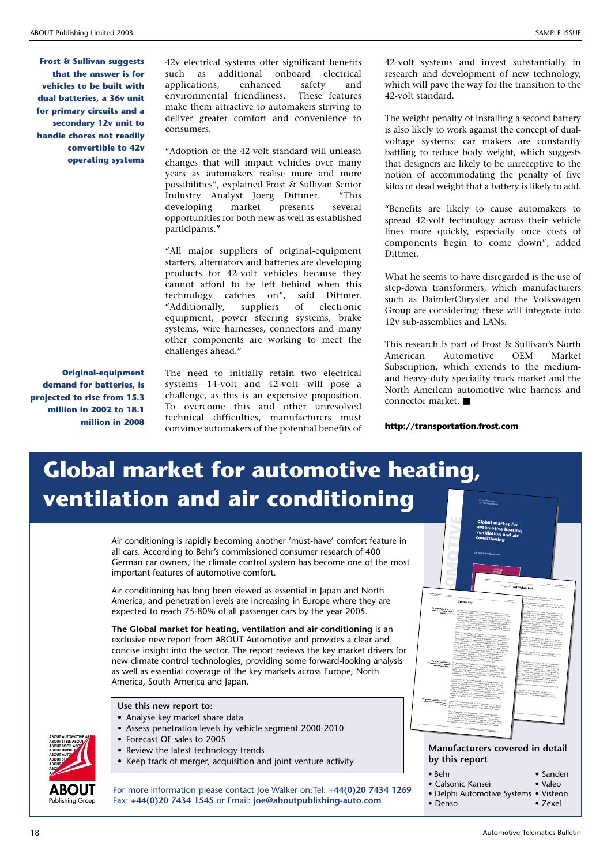**Frost & Sullivan suggests that the answer is for vehicles to be built with dual batteries, a 36v unit for primary circuits and a secondary 12v unit to handle chores not readily convertible to 42v operating systems**

42v electrical systems offer significant benefits such as additional onboard electrical applications, enhanced safety and environmental friendliness. These features make them attractive to automakers striving to deliver greater comfort and convenience to consumers.

"Adoption of the 42-volt standard will unleash changes that will impact vehicles over many years as automakers realise more and more possibilities", explained Frost & Sullivan Senior Industry Analyst Joerg Dittmer. "This developing market presents several opportunities for both new as well as established participants."

"All major suppliers of original-equipment starters, alternators and batteries are developing products for 42-volt vehicles because they cannot afford to be left behind when this technology catches on", said Dittmer.<br>"Additionally, suppliers of electronic "Additionally, suppliers of electronic equipment, power steering systems, brake systems, wire harnesses, connectors and many other components are working to meet the challenges ahead."

**Original-equipment demand for batteries, is projected to rise from 15.3 million in 2002 to 18.1 million in 2008**

The need to initially retain two electrical systems—14-volt and 42-volt—will pose a challenge, as this is an expensive proposition. To overcome this and other unresolved technical difficulties, manufacturers must convince automakers of the potential benefits of 42-volt systems and invest substantially in research and development of new technology, which will pave the way for the transition to the 42-volt standard.

The weight penalty of installing a second battery is also likely to work against the concept of dualvoltage systems: car makers are constantly battling to reduce body weight, which suggests that designers are likely to be unreceptive to the notion of accommodating the penalty of five kilos of dead weight that a battery is likely to add.

"Benefits are likely to cause automakers to spread 42-volt technology across their vehicle lines more quickly, especially once costs of components begin to come down", added Dittmer.

What he seems to have disregarded is the use of step-down transformers, which manufacturers such as DaimlerChrysler and the Volkswagen Group are considering; these will integrate into 12v sub-assemblies and LANs.

This research is part of Frost & Sullivan's North<br>American Automotive OEM Market American Automotive OEM Market Subscription, which extends to the mediumand heavy-duty speciality truck market and the North American automotive wire harness and connector market. ■

#### **http://transportation.frost.com**

### **Global market for automotive heating, ventilation and air conditioning**

Air conditioning is rapidly becoming another 'must-have' comfort feature in all cars. According to Behr's commissioned consumer research of 400 German car owners, the climate control system has become one of the most important features of automotive comfort.

Air conditioning has long been viewed as essential in Japan and North America, and penetration levels are increasing in Europe where they are expected to reach 75-80% of all passenger cars by the year 2005.

**The Global market for heating, ventilation and air conditioning** is an exclusive new report from ABOUT Automotive and provides a clear and concise insight into the sector. The report reviews the key market drivers for new climate control technologies, providing some forward-looking analysis as well as essential coverage of the key markets across Europe, North America, South America and Japan.

#### **Use this new report to:**

- Analyse key market share data
- Assess penetration levels by vehicle segment 2000-2010
- Forecast OE sales to 2005
- Review the latest technology trends
	- Keep track of merger, acquisition and joint venture activity



**ABOUT AUTOMOTIVE AFTER** 

**ABOUT** Publishing Group

For more information please contact Joe Walker on:Tel: **+44(0)20 7434 1269** Fax: **+44(0)20 7434 1545** or Email: **joe@aboutpublishing-auto.com**



Research Report ABOUT Automotive

#### **Manufacturers covered in detail by this report**

- Behr
- Calsonic Kansei • Valeo
- Delphi Automotive Systems Visteon • Denso
	- Zexel

• Sanden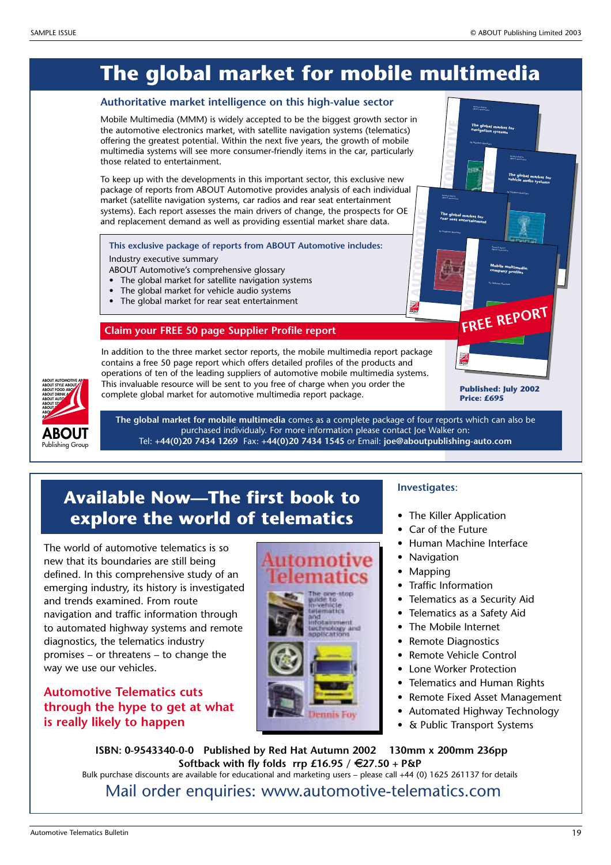### **The global market for mobile multimedia**

#### **Authoritative market intelligence on this high-value sector**

Mobile Multimedia (MMM) is widely accepted to be the biggest growth sector in the automotive electronics market, with satellite navigation systems (telematics) offering the greatest potential. Within the next five years, the growth of mobile multimedia systems will see more consumer-friendly items in the car, particularly those related to entertainment.

To keep up with the developments in this important sector, this exclusive new package of reports from ABOUT Automotive provides analysis of each individual market (satellite navigation systems, car radios and rear seat entertainment systems). Each report assesses the main drivers of change, the prospects for OE and replacement demand as well as providing essential market share data.

**This exclusive package of reports from ABOUT Automotive includes:**

Industry executive summary

- ABOUT Automotive's comprehensive glossary
- The global market for satellite navigation systems
- The global market for vehicle audio systems
- The global market for rear seat entertainment

#### **Claim your FREE 50 page Supplier Profile report**

In addition to the three market sector reports, the mobile multimedia report package contains a free 50 page report which offers detailed profiles of the products and operations of ten of the leading suppliers of automotive mobile multimedia systems. This invaluable resource will be sent to you free of charge when you order the complete global market for automotive multimedia report package.

**Published: July 2002 Price: £695**

**M FREE REPORT**



**The global market for mobile multimedia** comes as a complete package of four reports which can also be purchased individualy. For more information please contact Joe Walker on: Tel: **+44(0)20 7434 1269** Fax: **+44(0)20 7434 1545** or Email: **joe@aboutpublishing-auto.com**

### **Available Now—The first book to explore the world of telematics**

The world of automotive telematics is so new that its boundaries are still being defined. In this comprehensive study of an emerging industry, its history is investigated and trends examined. From route navigation and traffic information through to automated highway systems and remote diagnostics, the telematics industry promises – or threatens – to change the way we use our vehicles.

#### **Automotive Telematics cuts through the hype to get at what is really likely to happen**



#### **Investigates**:

• The Killer Application

l<br>Pesar<sub>ah Ke</sub><br>Nami (T **TO M**

Research Report ABOUT Automotive

by Matthew Beecham

**AUTO M**

**BOOUT AUTOMOTIVE ABOU OUT AUTOMOTIVE ABOU UT STYLE ABOUT ABOUT FOOD ABOUT ABOUT** Publishing Group

**OTIV E**

The global market for<br>rear seat entertainment

**AUTO**

**BOOUTAUTOMOTIVE ABOU UT STYLE ABOUT ABOUT FOOD ABOUT ABOUT DRINK AB ABOUT** 

**OTIV E** **TO**

Research Report ABOUT Automotive **Mobile multimedia: company profiles** by Matthew Beecham

**OTIV E**

**OTIV E**

Research Report ABOUT Automotive

**The global market for navigation systems** by Matthew Beecham

> Research Report ABOUT Automotive

**The global market for vehicle audio systems** by Matthew Beecham

- Car of the Future
- Human Machine Interface
- Navigation
- Mapping
- Traffic Information
- Telematics as a Security Aid
- Telematics as a Safety Aid
- The Mobile Internet
- Remote Diagnostics
- Remote Vehicle Control
- Lone Worker Protection
- Telematics and Human Rights
- Remote Fixed Asset Management
- Automated Highway Technology
- & Public Transport Systems

**ISBN: 0-9543340-0-0 Published by Red Hat Autumn 2002 130mm x 200mm 236pp Softback with fly folds rrp £16.95 /** 8**27.50 + P&P** Bulk purchase discounts are available for educational and marketing users – please call +44 (0) 1625 261137 for details

Mail order enquiries: www.automotive-telematics.com